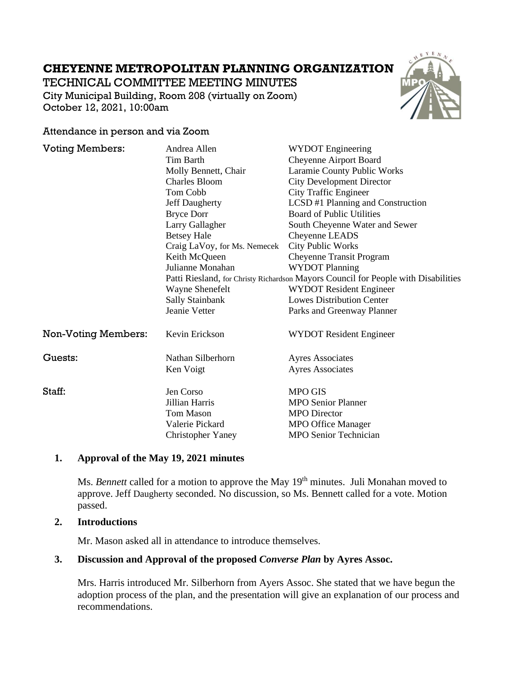# **CHEYENNE METROPOLITAN PLANNING ORGANIZATION**

TECHNICAL COMMITTEE MEETING MINUTES

City Municipal Building, Room 208 (virtually on Zoom) October 12, 2021, 10:00am



#### Attendance in person and via Zoom

| <b>Voting Members:</b>     | Andrea Allen                                                                       | <b>WYDOT</b> Engineering          |
|----------------------------|------------------------------------------------------------------------------------|-----------------------------------|
|                            | <b>Tim Barth</b>                                                                   | Cheyenne Airport Board            |
|                            | Molly Bennett, Chair                                                               | Laramie County Public Works       |
|                            | <b>Charles Bloom</b>                                                               | <b>City Development Director</b>  |
|                            | Tom Cobb                                                                           | <b>City Traffic Engineer</b>      |
|                            | <b>Jeff Daugherty</b>                                                              | LCSD #1 Planning and Construction |
|                            | <b>Bryce Dorr</b>                                                                  | <b>Board of Public Utilities</b>  |
|                            | Larry Gallagher                                                                    | South Cheyenne Water and Sewer    |
|                            | <b>Betsey Hale</b>                                                                 | Cheyenne LEADS                    |
|                            | Craig LaVoy, for Ms. Nemecek                                                       | <b>City Public Works</b>          |
|                            | Keith McQueen                                                                      | Cheyenne Transit Program          |
|                            | Julianne Monahan                                                                   | <b>WYDOT Planning</b>             |
|                            | Patti Riesland, for Christy Richardson Mayors Council for People with Disabilities |                                   |
|                            | Wayne Shenefelt                                                                    | <b>WYDOT Resident Engineer</b>    |
|                            | Sally Stainbank                                                                    | <b>Lowes Distribution Center</b>  |
|                            | Jeanie Vetter                                                                      | Parks and Greenway Planner        |
| <b>Non-Voting Members:</b> | Kevin Erickson                                                                     | <b>WYDOT</b> Resident Engineer    |
| Guests:                    | Nathan Silberhorn                                                                  | <b>Ayres Associates</b>           |
|                            | Ken Voigt                                                                          | <b>Ayres Associates</b>           |
| Staff:                     | Jen Corso                                                                          | <b>MPO GIS</b>                    |
|                            | Jillian Harris                                                                     | <b>MPO Senior Planner</b>         |
|                            | <b>Tom Mason</b>                                                                   | <b>MPO</b> Director               |
|                            | Valerie Pickard                                                                    | <b>MPO Office Manager</b>         |
|                            | <b>Christopher Yaney</b>                                                           | <b>MPO Senior Technician</b>      |

## **1. Approval of the May 19, 2021 minutes**

Ms. *Bennett* called for a motion to approve the May 19<sup>th</sup> minutes. Juli Monahan moved to approve. Jeff Daugherty seconded. No discussion, so Ms. Bennett called for a vote. Motion passed.

#### **2. Introductions**

Mr. Mason asked all in attendance to introduce themselves.

## **3. Discussion and Approval of the proposed** *Converse Plan* **by Ayres Assoc.**

Mrs. Harris introduced Mr. Silberhorn from Ayers Assoc. She stated that we have begun the adoption process of the plan, and the presentation will give an explanation of our process and recommendations.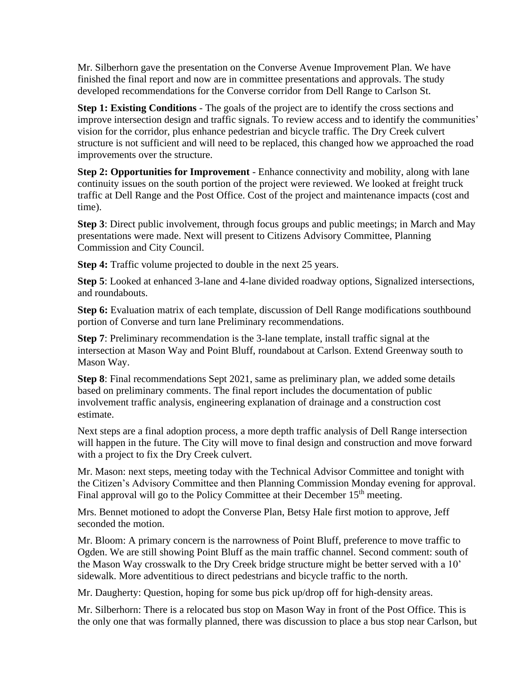Mr. Silberhorn gave the presentation on the Converse Avenue Improvement Plan. We have finished the final report and now are in committee presentations and approvals. The study developed recommendations for the Converse corridor from Dell Range to Carlson St.

**Step 1: Existing Conditions** - The goals of the project are to identify the cross sections and improve intersection design and traffic signals. To review access and to identify the communities' vision for the corridor, plus enhance pedestrian and bicycle traffic. The Dry Creek culvert structure is not sufficient and will need to be replaced, this changed how we approached the road improvements over the structure.

**Step 2: Opportunities for Improvement** - Enhance connectivity and mobility, along with lane continuity issues on the south portion of the project were reviewed. We looked at freight truck traffic at Dell Range and the Post Office. Cost of the project and maintenance impacts (cost and time).

**Step 3**: Direct public involvement, through focus groups and public meetings; in March and May presentations were made. Next will present to Citizens Advisory Committee, Planning Commission and City Council.

**Step 4:** Traffic volume projected to double in the next 25 years.

**Step 5**: Looked at enhanced 3-lane and 4-lane divided roadway options, Signalized intersections, and roundabouts.

**Step 6:** Evaluation matrix of each template, discussion of Dell Range modifications southbound portion of Converse and turn lane Preliminary recommendations.

**Step 7**: Preliminary recommendation is the 3-lane template, install traffic signal at the intersection at Mason Way and Point Bluff, roundabout at Carlson. Extend Greenway south to Mason Way.

**Step 8**: Final recommendations Sept 2021, same as preliminary plan, we added some details based on preliminary comments. The final report includes the documentation of public involvement traffic analysis, engineering explanation of drainage and a construction cost estimate.

Next steps are a final adoption process, a more depth traffic analysis of Dell Range intersection will happen in the future. The City will move to final design and construction and move forward with a project to fix the Dry Creek culvert.

Mr. Mason: next steps, meeting today with the Technical Advisor Committee and tonight with the Citizen's Advisory Committee and then Planning Commission Monday evening for approval. Final approval will go to the Policy Committee at their December 15<sup>th</sup> meeting.

Mrs. Bennet motioned to adopt the Converse Plan, Betsy Hale first motion to approve, Jeff seconded the motion.

Mr. Bloom: A primary concern is the narrowness of Point Bluff, preference to move traffic to Ogden. We are still showing Point Bluff as the main traffic channel. Second comment: south of the Mason Way crosswalk to the Dry Creek bridge structure might be better served with a 10' sidewalk. More adventitious to direct pedestrians and bicycle traffic to the north.

Mr. Daugherty: Question, hoping for some bus pick up/drop off for high-density areas.

Mr. Silberhorn: There is a relocated bus stop on Mason Way in front of the Post Office. This is the only one that was formally planned, there was discussion to place a bus stop near Carlson, but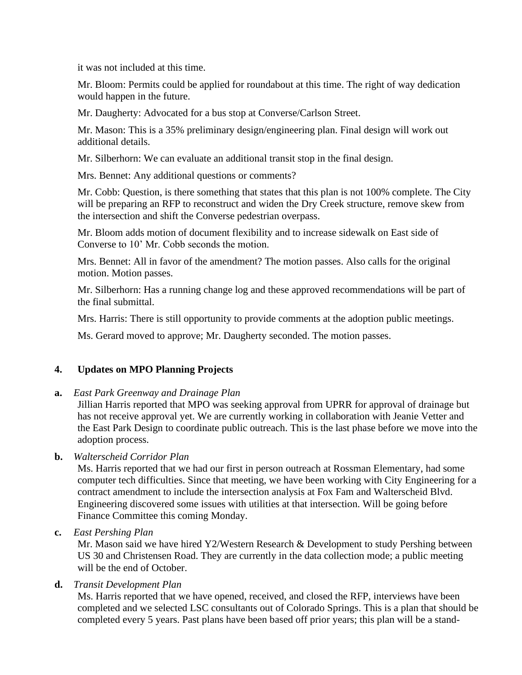it was not included at this time.

Mr. Bloom: Permits could be applied for roundabout at this time. The right of way dedication would happen in the future.

Mr. Daugherty: Advocated for a bus stop at Converse/Carlson Street.

Mr. Mason: This is a 35% preliminary design/engineering plan. Final design will work out additional details.

Mr. Silberhorn: We can evaluate an additional transit stop in the final design.

Mrs. Bennet: Any additional questions or comments?

Mr. Cobb: Question, is there something that states that this plan is not 100% complete. The City will be preparing an RFP to reconstruct and widen the Dry Creek structure, remove skew from the intersection and shift the Converse pedestrian overpass.

Mr. Bloom adds motion of document flexibility and to increase sidewalk on East side of Converse to 10' Mr. Cobb seconds the motion.

Mrs. Bennet: All in favor of the amendment? The motion passes. Also calls for the original motion. Motion passes.

Mr. Silberhorn: Has a running change log and these approved recommendations will be part of the final submittal.

Mrs. Harris: There is still opportunity to provide comments at the adoption public meetings.

Ms. Gerard moved to approve; Mr. Daugherty seconded. The motion passes.

## **4. Updates on MPO Planning Projects**

**a.** *East Park Greenway and Drainage Plan*

Jillian Harris reported that MPO was seeking approval from UPRR for approval of drainage but has not receive approval yet. We are currently working in collaboration with Jeanie Vetter and the East Park Design to coordinate public outreach. This is the last phase before we move into the adoption process.

## **b.** *Walterscheid Corridor Plan*

Ms. Harris reported that we had our first in person outreach at Rossman Elementary, had some computer tech difficulties. Since that meeting, we have been working with City Engineering for a contract amendment to include the intersection analysis at Fox Fam and Walterscheid Blvd. Engineering discovered some issues with utilities at that intersection. Will be going before Finance Committee this coming Monday.

**c.** *East Pershing Plan*

Mr. Mason said we have hired Y2/Western Research & Development to study Pershing between US 30 and Christensen Road. They are currently in the data collection mode; a public meeting will be the end of October.

**d.** *Transit Development Plan*

Ms. Harris reported that we have opened, received, and closed the RFP, interviews have been completed and we selected LSC consultants out of Colorado Springs. This is a plan that should be completed every 5 years. Past plans have been based off prior years; this plan will be a stand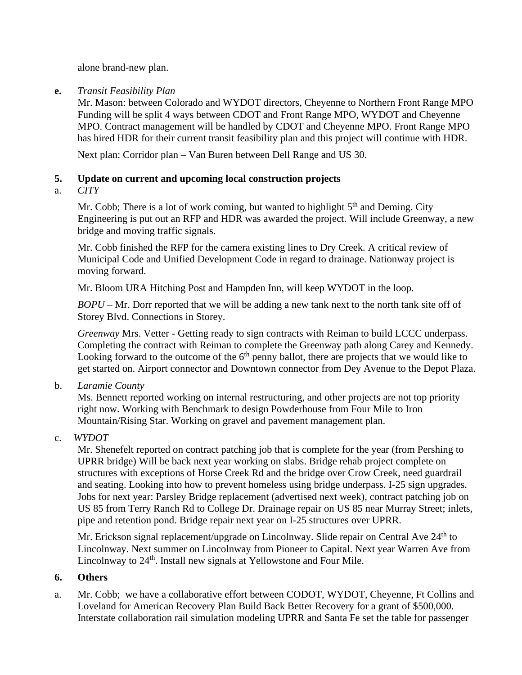alone brand-new plan.

**e.** *Transit Feasibility Plan*

Mr. Mason: between Colorado and WYDOT directors, Cheyenne to Northern Front Range MPO Funding will be split 4 ways between CDOT and Front Range MPO, WYDOT and Cheyenne MPO. Contract management will be handled by CDOT and Cheyenne MPO. Front Range MPO has hired HDR for their current transit feasibility plan and this project will continue with HDR.

Next plan: Corridor plan – Van Buren between Dell Range and US 30.

# **5. Update on current and upcoming local construction projects**

a. *CITY*

Mr. Cobb; There is a lot of work coming, but wanted to highlight  $5<sup>th</sup>$  and Deming. City Engineering is put out an RFP and HDR was awarded the project. Will include Greenway, a new bridge and moving traffic signals.

Mr. Cobb finished the RFP for the camera existing lines to Dry Creek. A critical review of Municipal Code and Unified Development Code in regard to drainage. Nationway project is moving forward.

Mr. Bloom URA Hitching Post and Hampden Inn, will keep WYDOT in the loop.

*BOPU* – Mr. Dorr reported that we will be adding a new tank next to the north tank site off of Storey Blvd. Connections in Storey.

*Greenway* Mrs. Vetter - Getting ready to sign contracts with Reiman to build LCCC underpass. Completing the contract with Reiman to complete the Greenway path along Carey and Kennedy. Looking forward to the outcome of the  $6<sup>th</sup>$  penny ballot, there are projects that we would like to get started on. Airport connector and Downtown connector from Dey Avenue to the Depot Plaza.

b. *Laramie County* 

Ms. Bennett reported working on internal restructuring, and other projects are not top priority right now. Working with Benchmark to design Powderhouse from Four Mile to Iron Mountain/Rising Star. Working on gravel and pavement management plan.

c. *WYDOT*

Mr. Shenefelt reported on contract patching job that is complete for the year (from Pershing to UPRR bridge) Will be back next year working on slabs. Bridge rehab project complete on structures with exceptions of Horse Creek Rd and the bridge over Crow Creek, need guardrail and seating. Looking into how to prevent homeless using bridge underpass. I-25 sign upgrades. Jobs for next year: Parsley Bridge replacement (advertised next week), contract patching job on US 85 from Terry Ranch Rd to College Dr. Drainage repair on US 85 near Murray Street; inlets, pipe and retention pond. Bridge repair next year on I-25 structures over UPRR.

Mr. Erickson signal replacement/upgrade on Lincolnway. Slide repair on Central Ave 24<sup>th</sup> to Lincolnway. Next summer on Lincolnway from Pioneer to Capital. Next year Warren Ave from Lincolnway to 24<sup>th</sup>. Install new signals at Yellowstone and Four Mile.

# **6. Others**

a. Mr. Cobb; we have a collaborative effort between CODOT, WYDOT, Cheyenne, Ft Collins and Loveland for American Recovery Plan Build Back Better Recovery for a grant of \$500,000. Interstate collaboration rail simulation modeling UPRR and Santa Fe set the table for passenger